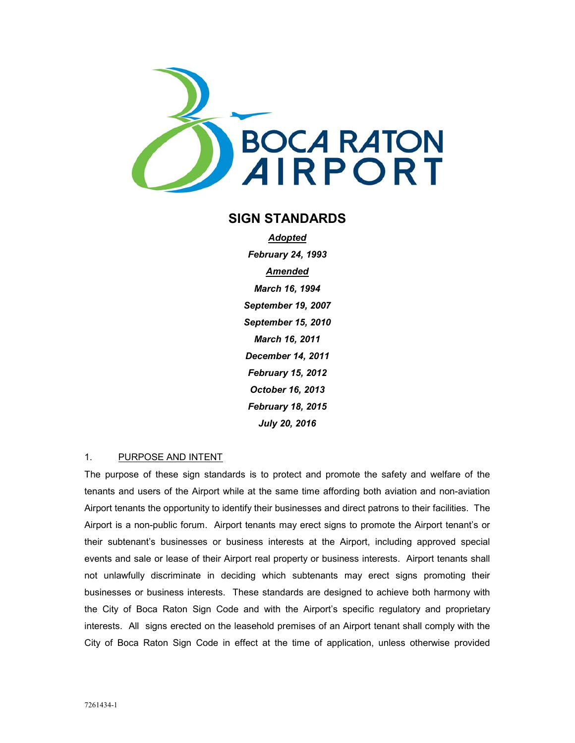

# **SIGN STANDARDS**

*Adopted February 24, 1993 Amended March 16, 1994 September 19, 2007 September 15, 2010 March 16, 2011 December 14, 2011 February 15, 2012 October 16, 2013 February 18, 2015 July 20, 2016* 

#### 1. PURPOSE AND INTENT

The purpose of these sign standards is to protect and promote the safety and welfare of the tenants and users of the Airport while at the same time affording both aviation and non-aviation Airport tenants the opportunity to identify their businesses and direct patrons to their facilities. The Airport is a non-public forum. Airport tenants may erect signs to promote the Airport tenant's or their subtenant's businesses or business interests at the Airport, including approved special events and sale or lease of their Airport real property or business interests. Airport tenants shall not unlawfully discriminate in deciding which subtenants may erect signs promoting their businesses or business interests. These standards are designed to achieve both harmony with the City of Boca Raton Sign Code and with the Airport's specific regulatory and proprietary interests. All signs erected on the leasehold premises of an Airport tenant shall comply with the City of Boca Raton Sign Code in effect at the time of application, unless otherwise provided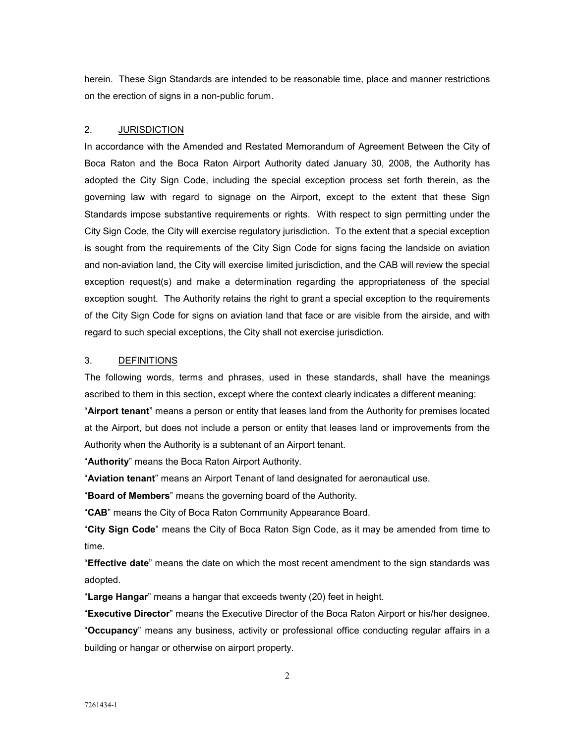herein. These Sign Standards are intended to be reasonable time, place and manner restrictions on the erection of signs in a non-public forum.

### 2. JURISDICTION

In accordance with the Amended and Restated Memorandum of Agreement Between the City of Boca Raton and the Boca Raton Airport Authority dated January 30, 2008, the Authority has adopted the City Sign Code, including the special exception process set forth therein, as the governing law with regard to signage on the Airport, except to the extent that these Sign Standards impose substantive requirements or rights. With respect to sign permitting under the City Sign Code, the City will exercise regulatory jurisdiction. To the extent that a special exception is sought from the requirements of the City Sign Code for signs facing the landside on aviation and non-aviation land, the City will exercise limited jurisdiction, and the CAB will review the special exception request(s) and make a determination regarding the appropriateness of the special exception sought. The Authority retains the right to grant a special exception to the requirements of the City Sign Code for signs on aviation land that face or are visible from the airside, and with regard to such special exceptions, the City shall not exercise jurisdiction.

#### 3. DEFINITIONS

The following words, terms and phrases, used in these standards, shall have the meanings ascribed to them in this section, except where the context clearly indicates a different meaning:

"**Airport tenant**" means a person or entity that leases land from the Authority for premises located at the Airport, but does not include a person or entity that leases land or improvements from the Authority when the Authority is a subtenant of an Airport tenant.

"**Authority**" means the Boca Raton Airport Authority.

"**Aviation tenant**" means an Airport Tenant of land designated for aeronautical use.

"**Board of Members**" means the governing board of the Authority.

"**CAB**" means the City of Boca Raton Community Appearance Board.

"**City Sign Code**" means the City of Boca Raton Sign Code, as it may be amended from time to time.

"**Effective date**" means the date on which the most recent amendment to the sign standards was adopted.

"**Large Hangar**" means a hangar that exceeds twenty (20) feet in height.

"**Executive Director**" means the Executive Director of the Boca Raton Airport or his/her designee. "**Occupancy**" means any business, activity or professional office conducting regular affairs in a building or hangar or otherwise on airport property.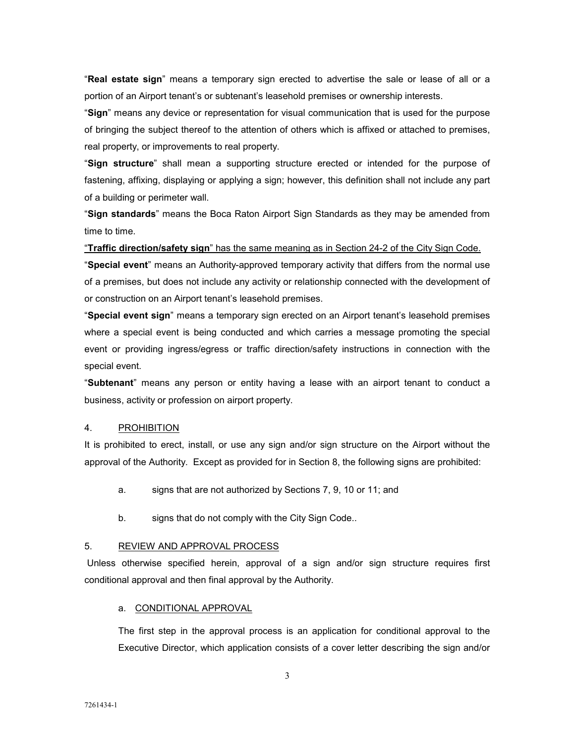"**Real estate sign**" means a temporary sign erected to advertise the sale or lease of all or a portion of an Airport tenant's or subtenant's leasehold premises or ownership interests.

"**Sign**" means any device or representation for visual communication that is used for the purpose of bringing the subject thereof to the attention of others which is affixed or attached to premises, real property, or improvements to real property.

"**Sign structure**" shall mean a supporting structure erected or intended for the purpose of fastening, affixing, displaying or applying a sign; however, this definition shall not include any part of a building or perimeter wall.

"**Sign standards**" means the Boca Raton Airport Sign Standards as they may be amended from time to time.

"**Traffic direction/safety sign**" has the same meaning as in Section 24-2 of the City Sign Code.

"**Special event**" means an Authority-approved temporary activity that differs from the normal use of a premises, but does not include any activity or relationship connected with the development of or construction on an Airport tenant's leasehold premises.

"**Special event sign**" means a temporary sign erected on an Airport tenant's leasehold premises where a special event is being conducted and which carries a message promoting the special event or providing ingress/egress or traffic direction/safety instructions in connection with the special event.

"**Subtenant**" means any person or entity having a lease with an airport tenant to conduct a business, activity or profession on airport property.

### 4. PROHIBITION

It is prohibited to erect, install, or use any sign and/or sign structure on the Airport without the approval of the Authority. Except as provided for in Section 8, the following signs are prohibited:

- a. signs that are not authorized by Sections 7, 9, 10 or 11; and
- b. signs that do not comply with the City Sign Code..

#### 5. REVIEW AND APPROVAL PROCESS

 Unless otherwise specified herein, approval of a sign and/or sign structure requires first conditional approval and then final approval by the Authority.

#### a. CONDITIONAL APPROVAL

The first step in the approval process is an application for conditional approval to the Executive Director, which application consists of a cover letter describing the sign and/or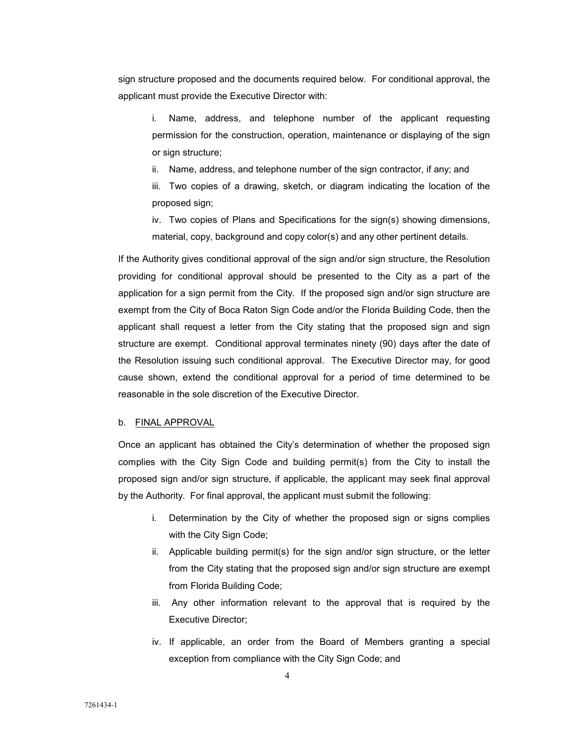sign structure proposed and the documents required below. For conditional approval, the applicant must provide the Executive Director with:

i. Name, address, and telephone number of the applicant requesting permission for the construction, operation, maintenance or displaying of the sign or sign structure;

ii. Name, address, and telephone number of the sign contractor, if any; and

iii. Two copies of a drawing, sketch, or diagram indicating the location of the proposed sign;

iv. Two copies of Plans and Specifications for the sign(s) showing dimensions, material, copy, background and copy color(s) and any other pertinent details.

If the Authority gives conditional approval of the sign and/or sign structure, the Resolution providing for conditional approval should be presented to the City as a part of the application for a sign permit from the City. If the proposed sign and/or sign structure are exempt from the City of Boca Raton Sign Code and/or the Florida Building Code, then the applicant shall request a letter from the City stating that the proposed sign and sign structure are exempt. Conditional approval terminates ninety (90) days after the date of the Resolution issuing such conditional approval. The Executive Director may, for good cause shown, extend the conditional approval for a period of time determined to be reasonable in the sole discretion of the Executive Director.

#### b. FINAL APPROVAL

Once an applicant has obtained the City's determination of whether the proposed sign complies with the City Sign Code and building permit(s) from the City to install the proposed sign and/or sign structure, if applicable, the applicant may seek final approval by the Authority. For final approval, the applicant must submit the following:

- i. Determination by the City of whether the proposed sign or signs complies with the City Sign Code;
- ii. Applicable building permit(s) for the sign and/or sign structure, or the letter from the City stating that the proposed sign and/or sign structure are exempt from Florida Building Code;
- iii. Any other information relevant to the approval that is required by the Executive Director;
- iv. If applicable, an order from the Board of Members granting a special exception from compliance with the City Sign Code; and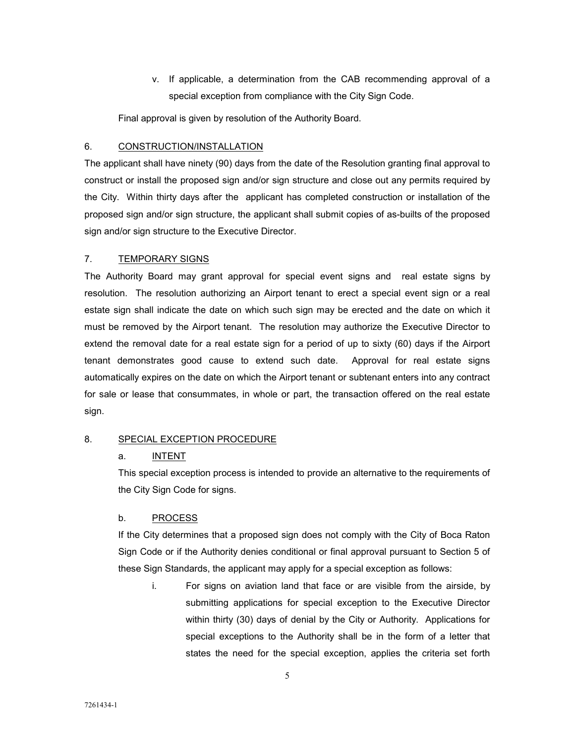v. If applicable, a determination from the CAB recommending approval of a special exception from compliance with the City Sign Code.

Final approval is given by resolution of the Authority Board.

### 6. CONSTRUCTION/INSTALLATION

The applicant shall have ninety (90) days from the date of the Resolution granting final approval to construct or install the proposed sign and/or sign structure and close out any permits required by the City. Within thirty days after the applicant has completed construction or installation of the proposed sign and/or sign structure, the applicant shall submit copies of as-builts of the proposed sign and/or sign structure to the Executive Director.

### 7. TEMPORARY SIGNS

The Authority Board may grant approval for special event signs and real estate signs by resolution. The resolution authorizing an Airport tenant to erect a special event sign or a real estate sign shall indicate the date on which such sign may be erected and the date on which it must be removed by the Airport tenant. The resolution may authorize the Executive Director to extend the removal date for a real estate sign for a period of up to sixty (60) days if the Airport tenant demonstrates good cause to extend such date. Approval for real estate signs automatically expires on the date on which the Airport tenant or subtenant enters into any contract for sale or lease that consummates, in whole or part, the transaction offered on the real estate sign.

## 8. SPECIAL EXCEPTION PROCEDURE

### a. INTENT

This special exception process is intended to provide an alternative to the requirements of the City Sign Code for signs.

### b. PROCESS

If the City determines that a proposed sign does not comply with the City of Boca Raton Sign Code or if the Authority denies conditional or final approval pursuant to Section 5 of these Sign Standards, the applicant may apply for a special exception as follows:

i. For signs on aviation land that face or are visible from the airside, by submitting applications for special exception to the Executive Director within thirty (30) days of denial by the City or Authority. Applications for special exceptions to the Authority shall be in the form of a letter that states the need for the special exception, applies the criteria set forth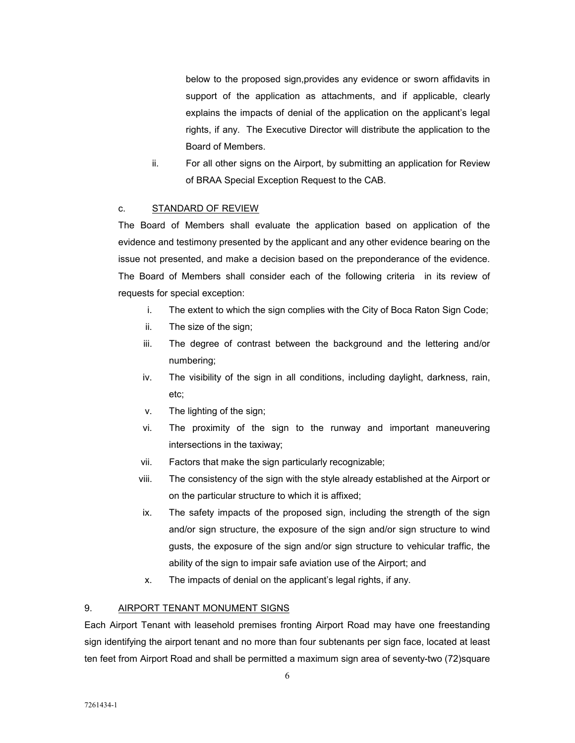below to the proposed sign,provides any evidence or sworn affidavits in support of the application as attachments, and if applicable, clearly explains the impacts of denial of the application on the applicant's legal rights, if any. The Executive Director will distribute the application to the Board of Members.

ii. For all other signs on the Airport, by submitting an application for Review of BRAA Special Exception Request to the CAB.

### c. STANDARD OF REVIEW

The Board of Members shall evaluate the application based on application of the evidence and testimony presented by the applicant and any other evidence bearing on the issue not presented, and make a decision based on the preponderance of the evidence. The Board of Members shall consider each of the following criteria in its review of requests for special exception:

- i. The extent to which the sign complies with the City of Boca Raton Sign Code;
- ii. The size of the sign;
- iii. The degree of contrast between the background and the lettering and/or numbering;
- iv. The visibility of the sign in all conditions, including daylight, darkness, rain, etc;
- v. The lighting of the sign;
- vi. The proximity of the sign to the runway and important maneuvering intersections in the taxiway;
- vii. Factors that make the sign particularly recognizable;
- viii. The consistency of the sign with the style already established at the Airport or on the particular structure to which it is affixed;
- ix. The safety impacts of the proposed sign, including the strength of the sign and/or sign structure, the exposure of the sign and/or sign structure to wind gusts, the exposure of the sign and/or sign structure to vehicular traffic, the ability of the sign to impair safe aviation use of the Airport; and
- x. The impacts of denial on the applicant's legal rights, if any.

## 9. AIRPORT TENANT MONUMENT SIGNS

Each Airport Tenant with leasehold premises fronting Airport Road may have one freestanding sign identifying the airport tenant and no more than four subtenants per sign face, located at least ten feet from Airport Road and shall be permitted a maximum sign area of seventy-two (72)square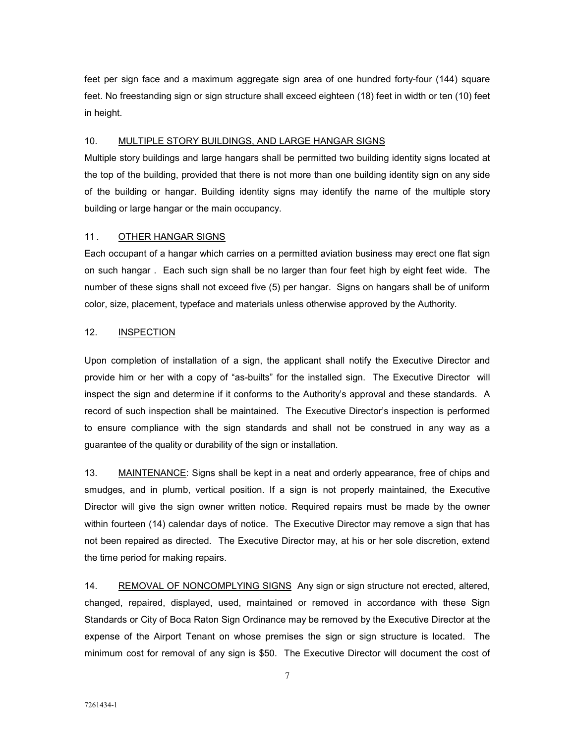feet per sign face and a maximum aggregate sign area of one hundred forty-four (144) square feet. No freestanding sign or sign structure shall exceed eighteen (18) feet in width or ten (10) feet in height.

### 10. MULTIPLE STORY BUILDINGS, AND LARGE HANGAR SIGNS

Multiple story buildings and large hangars shall be permitted two building identity signs located at the top of the building, provided that there is not more than one building identity sign on any side of the building or hangar. Building identity signs may identify the name of the multiple story building or large hangar or the main occupancy.

### 11. OTHER HANGAR SIGNS

Each occupant of a hangar which carries on a permitted aviation business may erect one flat sign on such hangar . Each such sign shall be no larger than four feet high by eight feet wide. The number of these signs shall not exceed five (5) per hangar. Signs on hangars shall be of uniform color, size, placement, typeface and materials unless otherwise approved by the Authority.

### 12. **INSPECTION**

Upon completion of installation of a sign, the applicant shall notify the Executive Director and provide him or her with a copy of "as-builts" for the installed sign. The Executive Director will inspect the sign and determine if it conforms to the Authority's approval and these standards. A record of such inspection shall be maintained. The Executive Director's inspection is performed to ensure compliance with the sign standards and shall not be construed in any way as a guarantee of the quality or durability of the sign or installation.

13. MAINTENANCE: Signs shall be kept in a neat and orderly appearance, free of chips and smudges, and in plumb, vertical position. If a sign is not properly maintained, the Executive Director will give the sign owner written notice. Required repairs must be made by the owner within fourteen (14) calendar days of notice. The Executive Director may remove a sign that has not been repaired as directed. The Executive Director may, at his or her sole discretion, extend the time period for making repairs.

14. REMOVAL OF NONCOMPLYING SIGNS Any sign or sign structure not erected, altered, changed, repaired, displayed, used, maintained or removed in accordance with these Sign Standards or City of Boca Raton Sign Ordinance may be removed by the Executive Director at the expense of the Airport Tenant on whose premises the sign or sign structure is located. The minimum cost for removal of any sign is \$50. The Executive Director will document the cost of

7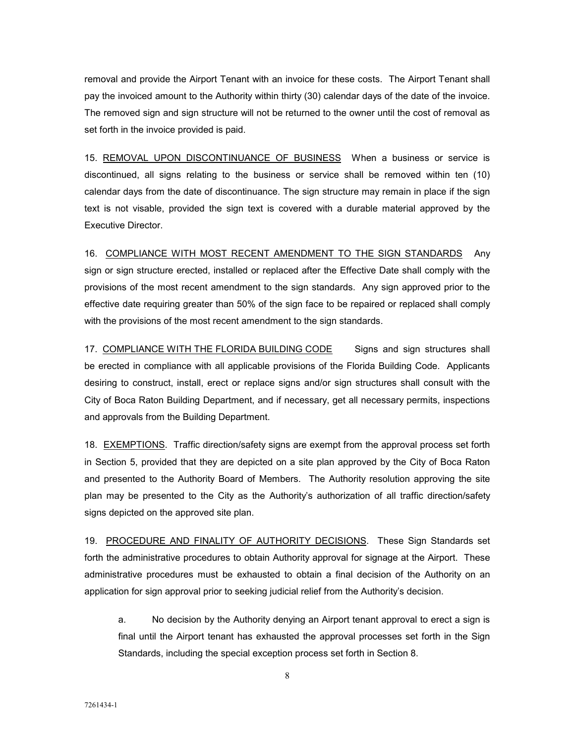removal and provide the Airport Tenant with an invoice for these costs. The Airport Tenant shall pay the invoiced amount to the Authority within thirty (30) calendar days of the date of the invoice. The removed sign and sign structure will not be returned to the owner until the cost of removal as set forth in the invoice provided is paid.

15. REMOVAL UPON DISCONTINUANCE OF BUSINESS When a business or service is discontinued, all signs relating to the business or service shall be removed within ten (10) calendar days from the date of discontinuance. The sign structure may remain in place if the sign text is not visable, provided the sign text is covered with a durable material approved by the Executive Director.

16. COMPLIANCE WITH MOST RECENT AMENDMENT TO THE SIGN STANDARDS Any sign or sign structure erected, installed or replaced after the Effective Date shall comply with the provisions of the most recent amendment to the sign standards. Any sign approved prior to the effective date requiring greater than 50% of the sign face to be repaired or replaced shall comply with the provisions of the most recent amendment to the sign standards.

17. COMPLIANCE WITH THE FLORIDA BUILDING CODE Signs and sign structures shall be erected in compliance with all applicable provisions of the Florida Building Code. Applicants desiring to construct, install, erect or replace signs and/or sign structures shall consult with the City of Boca Raton Building Department, and if necessary, get all necessary permits, inspections and approvals from the Building Department.

18. EXEMPTIONS. Traffic direction/safety signs are exempt from the approval process set forth in Section 5, provided that they are depicted on a site plan approved by the City of Boca Raton and presented to the Authority Board of Members. The Authority resolution approving the site plan may be presented to the City as the Authority's authorization of all traffic direction/safety signs depicted on the approved site plan.

19. PROCEDURE AND FINALITY OF AUTHORITY DECISIONS. These Sign Standards set forth the administrative procedures to obtain Authority approval for signage at the Airport. These administrative procedures must be exhausted to obtain a final decision of the Authority on an application for sign approval prior to seeking judicial relief from the Authority's decision.

a. No decision by the Authority denying an Airport tenant approval to erect a sign is final until the Airport tenant has exhausted the approval processes set forth in the Sign Standards, including the special exception process set forth in Section 8.